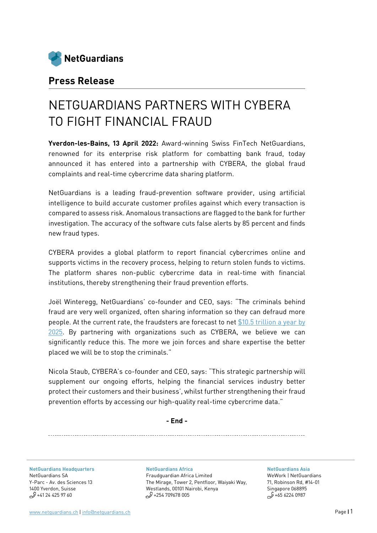

## **Press Release**

# NETGUARDIANS PARTNERS WITH CYBERA TO FIGHT FINANCIAL FRAUD

**Yverdon-les-Bains, 13 April 2022:** Award-winning Swiss FinTech NetGuardians, renowned for its enterprise risk platform for combatting bank fraud, today announced it has entered into a partnership with CYBERA, the global fraud complaints and real-time cybercrime data sharing platform.

NetGuardians is a leading fraud-prevention software provider, using artificial intelligence to build accurate customer profiles against which every transaction is compared to assess risk. Anomalous transactions are flagged to the bank for further investigation. The accuracy of the software cuts false alerts by 85 percent and finds new fraud types.

CYBERA provides a global platform to report financial cybercrimes online and supports victims in the recovery process, helping to return stolen funds to victims. The platform shares non-public cybercrime data in real-time with financial institutions, thereby strengthening their fraud prevention efforts.

Joël Winteregg, NetGuardians' co-founder and CEO, says: "The criminals behind fraud are very well organized, often sharing information so they can defraud more people. At the current rate, the fraudsters are forecast to ne[t \\$10.5 trillion a year by](https://gcscc.ox.ac.uk/dimension-3-cybersecurity-knowledge-and-capabilities)  [2025.](https://gcscc.ox.ac.uk/dimension-3-cybersecurity-knowledge-and-capabilities) By partnering with organizations such as CYBERA, we believe we can significantly reduce this. The more we join forces and share expertise the better placed we will be to stop the criminals."

Nicola Staub, CYBERA's co-founder and CEO, says: "This strategic partnership will supplement our ongoing efforts, helping the financial services industry better protect their customers and their business', whilst further strengthening their fraud prevention efforts by accessing our high-quality real-time cybercrime data."

**- End -**

**NetGuardians [Headquarters](https://www.google.com/maps/place/Avenue+des+Sciences+13,+1400+Yverdon-les-Bains/@46.7641624,6.6397033,17z/data=!3m1!4b1!4m5!3m4!1s0x478dcfbcbb40fa8f:0xe6d1447462224829!8m2!3d46.7641587!4d6.641892)** [NetGuardians SA](https://www.google.com/maps/place/Avenue+des+Sciences+13,+1400+Yverdon-les-Bains/@46.7641624,6.6397033,17z/data=!3m1!4b1!4m5!3m4!1s0x478dcfbcbb40fa8f:0xe6d1447462224829!8m2!3d46.7641587!4d6.641892) Y-Parc - [Av. des Sciences 13](https://www.google.com/maps/place/Avenue+des+Sciences+13,+1400+Yverdon-les-Bains/@46.7641624,6.6397033,17z/data=!3m1!4b1!4m5!3m4!1s0x478dcfbcbb40fa8f:0xe6d1447462224829!8m2!3d46.7641587!4d6.641892) [1400 Yverdon, Suisse](https://www.google.com/maps/place/Avenue+des+Sciences+13,+1400+Yverdon-les-Bains/@46.7641624,6.6397033,17z/data=!3m1!4b1!4m5!3m4!1s0x478dcfbcbb40fa8f:0xe6d1447462224829!8m2!3d46.7641587!4d6.641892)  $$+41$  24 425 97 60

**[NetGuardians](https://www.google.com/maps/place/Pentoffice+Mirage+Tower+2/@-1.2700631,36.8076804,15z/data=!4m5!3m4!1s0x0:0x438685c376c08a8b!8m2!3d-1.2700631!4d36.8076804) Africa** [Fraudguardian Africa Limited](https://www.google.com/maps/place/Pentoffice+Mirage+Tower+2/@-1.2700631,36.8076804,15z/data=!4m5!3m4!1s0x0:0x438685c376c08a8b!8m2!3d-1.2700631!4d36.8076804) [The Mirage, Tower 2, Pentfloor, Waiyaki Way,](https://www.google.com/maps/place/Pentoffice+Mirage+Tower+2/@-1.2700631,36.8076804,15z/data=!4m5!3m4!1s0x0:0x438685c376c08a8b!8m2!3d-1.2700631!4d36.8076804)  [Westlands, 00101 Nairobi, Kenya](https://www.google.com/maps/place/Pentoffice+Mirage+Tower+2/@-1.2700631,36.8076804,15z/data=!4m5!3m4!1s0x0:0x438685c376c08a8b!8m2!3d-1.2700631!4d36.8076804)  $$^{9+254}$  709678 005

**[NetGuardians Asia](https://www.google.ch/maps/place/GB+Building/@1.2789141,103.8481374,15z/data=!4m2!3m1!1s0x0:0xf5ca6741bab90604?sa=X&ved=0ahUKEwjrv_Gy7KLaAhWTN8AKHZ6-Bx8Q_BIIeTAK)** WeWork | NetGuardians 71, Robinson Rd, #14-01 Singapore 068895  $$^{9+65}$  6224 0987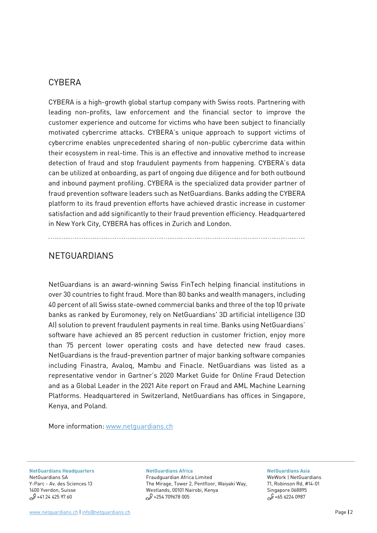### **CYBERA**

CYBERA is a high-growth global startup company with Swiss roots. Partnering with leading non-profits, law enforcement and the financial sector to improve the customer experience and outcome for victims who have been subject to financially motivated cybercrime attacks. CYBERA's unique approach to support victims of cybercrime enables unprecedented sharing of non-public cybercrime data within their ecosystem in real-time. This is an effective and innovative method to increase detection of fraud and stop fraudulent payments from happening. CYBERA's data can be utilized at onboarding, as part of ongoing due diligence and for both outbound and inbound payment profiling. CYBERA is the specialized data provider partner of fraud prevention software leaders such as NetGuardians. Banks adding the CYBERA platform to its fraud prevention efforts have achieved drastic increase in customer satisfaction and add significantly to their fraud prevention efficiency. Headquartered in New York City, CYBERA has offices in Zurich and London.

## **NETGUARDIANS**

NetGuardians is an award-winning Swiss FinTech helping financial institutions in over 30 countries to fight fraud. More than 80 banks and wealth managers, including 40 percent of all Swiss state-owned commercial banks and three of the top 10 private banks as ranked by Euromoney, rely on NetGuardians' 3D artificial intelligence (3D AI) solution to prevent fraudulent payments in real time. Banks using NetGuardians' software have achieved an 85 percent reduction in customer friction, enjoy more than 75 percent lower operating costs and have detected new fraud cases. NetGuardians is the fraud-prevention partner of major banking software companies including Finastra, Avaloq, Mambu and Finacle. NetGuardians was listed as a representative vendor in Gartner's 2020 Market Guide for Online Fraud Detection and as a Global Leader in the 2021 Aite report on Fraud and AML Machine Learning Platforms. Headquartered in Switzerland, NetGuardians has offices in Singapore, Kenya, and Poland.

More information: [www.netguardians.ch](http://www.netguardians.ch/)

**NetGuardians [Headquarters](https://www.google.com/maps/place/Avenue+des+Sciences+13,+1400+Yverdon-les-Bains/@46.7641624,6.6397033,17z/data=!3m1!4b1!4m5!3m4!1s0x478dcfbcbb40fa8f:0xe6d1447462224829!8m2!3d46.7641587!4d6.641892)** [NetGuardians SA](https://www.google.com/maps/place/Avenue+des+Sciences+13,+1400+Yverdon-les-Bains/@46.7641624,6.6397033,17z/data=!3m1!4b1!4m5!3m4!1s0x478dcfbcbb40fa8f:0xe6d1447462224829!8m2!3d46.7641587!4d6.641892) Y-Parc - [Av. des Sciences 13](https://www.google.com/maps/place/Avenue+des+Sciences+13,+1400+Yverdon-les-Bains/@46.7641624,6.6397033,17z/data=!3m1!4b1!4m5!3m4!1s0x478dcfbcbb40fa8f:0xe6d1447462224829!8m2!3d46.7641587!4d6.641892) [1400 Yverdon, Suisse](https://www.google.com/maps/place/Avenue+des+Sciences+13,+1400+Yverdon-les-Bains/@46.7641624,6.6397033,17z/data=!3m1!4b1!4m5!3m4!1s0x478dcfbcbb40fa8f:0xe6d1447462224829!8m2!3d46.7641587!4d6.641892)  $$+41$  24 425 97 60

#### **[NetGuardians](https://www.google.com/maps/place/Pentoffice+Mirage+Tower+2/@-1.2700631,36.8076804,15z/data=!4m5!3m4!1s0x0:0x438685c376c08a8b!8m2!3d-1.2700631!4d36.8076804) Africa**

[Fraudguardian Africa Limited](https://www.google.com/maps/place/Pentoffice+Mirage+Tower+2/@-1.2700631,36.8076804,15z/data=!4m5!3m4!1s0x0:0x438685c376c08a8b!8m2!3d-1.2700631!4d36.8076804) [The Mirage, Tower 2, Pentfloor, Waiyaki Way,](https://www.google.com/maps/place/Pentoffice+Mirage+Tower+2/@-1.2700631,36.8076804,15z/data=!4m5!3m4!1s0x0:0x438685c376c08a8b!8m2!3d-1.2700631!4d36.8076804)  [Westlands, 00101 Nairobi, Kenya](https://www.google.com/maps/place/Pentoffice+Mirage+Tower+2/@-1.2700631,36.8076804,15z/data=!4m5!3m4!1s0x0:0x438685c376c08a8b!8m2!3d-1.2700631!4d36.8076804)  $$^{9}$  +254 709678 005

#### **[NetGuardians Asia](https://www.google.ch/maps/place/GB+Building/@1.2789141,103.8481374,15z/data=!4m2!3m1!1s0x0:0xf5ca6741bab90604?sa=X&ved=0ahUKEwjrv_Gy7KLaAhWTN8AKHZ6-Bx8Q_BIIeTAK)**

WeWork | NetGuardians 71, Robinson Rd, #14-01 Singapore 068895  $$465\,6224\,0987$